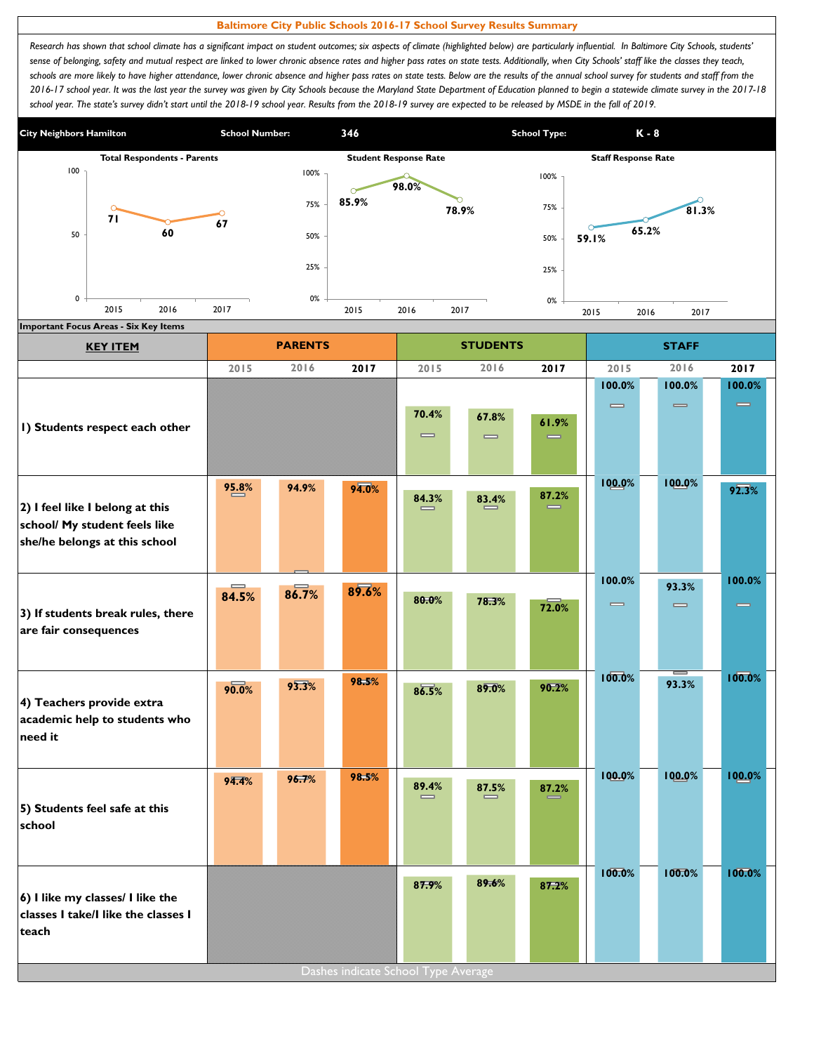## **Baltimore City Public Schools 2016-17 School Survey Results Summary**

Research has shown that school climate has a significant impact on student outcomes; six aspects of climate (highlighted below) are particularly influential. In Baltimore City Schools, students' sense of belonging, safety and mutual respect are linked to lower chronic absence rates and higher pass rates on state tests. Additionally, when City Schools' staff like the classes they teach, schools are more likely to have higher attendance, lower chronic absence and higher pass rates on state tests. Below are the results of the annual school survey for students and staff from the *2016-17 school year. It was the last year the survey was given by City Schools because the Maryland State Department of Education planned to begin a statewide climate survey in the 2017-18*  school year. The state's survey didn't start until the 2018-19 school year. Results from the 2018-19 survey are expected to be released by MSDE in the fall of 2019.



| <b>KEY ITEM</b>                          |       | <b>PARENTS</b> |                                     |                              | <b>STUDENTS</b>              |                   | <b>STAFF</b>                 |                              |          |  |
|------------------------------------------|-------|----------------|-------------------------------------|------------------------------|------------------------------|-------------------|------------------------------|------------------------------|----------|--|
|                                          | 2015  | 2016           | 2017                                | 2015                         | 2016                         | 2017              | 2015                         | 2016                         | 2017     |  |
|                                          |       |                |                                     |                              |                              |                   | 100.0%                       | 100.0%                       | 100.0%   |  |
|                                          |       |                |                                     | 70.4%                        | 67.8%                        |                   | $\qquad \qquad \blacksquare$ | $\qquad \qquad \blacksquare$ | $\equiv$ |  |
| I) Students respect each other           |       |                |                                     | $\qquad \qquad \blacksquare$ | $\qquad \qquad \blacksquare$ | 61.9%<br>$\equiv$ |                              |                              |          |  |
|                                          |       |                |                                     |                              |                              |                   |                              |                              |          |  |
|                                          | 95.8% | 94.9%          | 94.0%                               |                              |                              |                   | 100.0%                       | 100.0%                       | 92.3%    |  |
| 2) I feel like I belong at this          |       |                |                                     | 84.3%                        | 83.4%                        | 87.2%             |                              |                              |          |  |
| school/ My student feels like            |       |                |                                     |                              |                              |                   |                              |                              |          |  |
| she/he belongs at this school            |       |                |                                     |                              |                              |                   |                              |                              |          |  |
|                                          |       |                |                                     |                              |                              |                   | 100.0%                       |                              | 100.0%   |  |
|                                          | 84.5% | 86.7%          | 89.6%                               | 80.0%                        | 78.3%                        |                   | $\qquad \qquad \blacksquare$ | 93.3%                        |          |  |
| 3) If students break rules, there        |       |                |                                     |                              |                              | 72.0%             |                              | $\qquad \qquad \blacksquare$ | $\equiv$ |  |
| are fair consequences                    |       |                |                                     |                              |                              |                   |                              |                              |          |  |
|                                          |       |                |                                     |                              |                              |                   |                              |                              |          |  |
|                                          | 90.0% | 93.3%          | 98.5%                               | 86.5%                        | 89.0%                        | 90.2%             | 100.0%                       | 93.3%                        | 100.0%   |  |
| 4) Teachers provide extra                |       |                |                                     |                              |                              |                   |                              |                              |          |  |
| academic help to students who<br>need it |       |                |                                     |                              |                              |                   |                              |                              |          |  |
|                                          |       |                |                                     |                              |                              |                   |                              |                              |          |  |
|                                          | 94.4% | 96.7%          | 98.5%                               | 89.4%                        |                              |                   | 100.0%                       | 100.0%                       | 100.0%   |  |
| 5) Students feel safe at this            |       |                |                                     | $\qquad \qquad \blacksquare$ | 87.5%                        | 87.2%             |                              |                              |          |  |
| school                                   |       |                |                                     |                              |                              |                   |                              |                              |          |  |
|                                          |       |                |                                     |                              |                              |                   |                              |                              |          |  |
|                                          |       |                |                                     |                              |                              |                   | 100.0%                       | 100.0%                       | 100.0%   |  |
| 6) I like my classes/ I like the         |       |                |                                     | 87.9%                        | 89.6%                        | 87.2%             |                              |                              |          |  |
| classes I take/I like the classes I      |       |                |                                     |                              |                              |                   |                              |                              |          |  |
| teach                                    |       |                |                                     |                              |                              |                   |                              |                              |          |  |
|                                          |       |                | Dashes indicate School Type Average |                              |                              |                   |                              |                              |          |  |